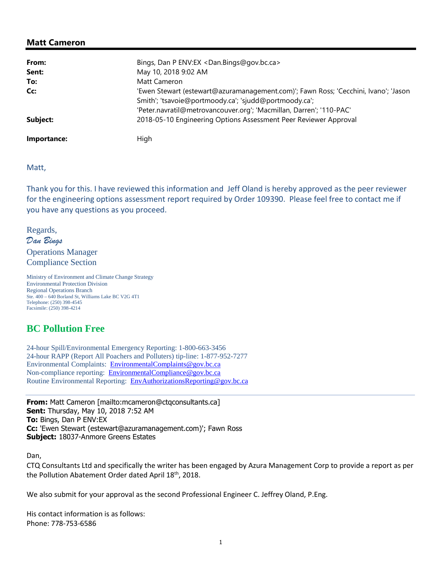## **Matt Cameron**

| From:       | Bings, Dan P ENV:EX <dan.bings@gov.bc.ca></dan.bings@gov.bc.ca>                                                                              |
|-------------|----------------------------------------------------------------------------------------------------------------------------------------------|
| Sent:       | May 10, 2018 9:02 AM                                                                                                                         |
| To:         | Matt Cameron                                                                                                                                 |
| Cc:         | 'Ewen Stewart (estewart@azuramanagement.com)'; Fawn Ross; 'Cecchini, Ivano'; 'Jason<br>Smith'; 'tsavoie@portmoody.ca'; 'sjudd@portmoody.ca'; |
|             | 'Peter.navratil@metrovancouver.org'; 'Macmillan, Darren'; '110-PAC'                                                                          |
| Subject:    | 2018-05-10 Engineering Options Assessment Peer Reviewer Approval                                                                             |
| Importance: | Hiah                                                                                                                                         |

Matt,

Thank you for this. I have reviewed this information and Jeff Oland is hereby approved as the peer reviewer for the engineering options assessment report required by Order 109390. Please feel free to contact me if you have any questions as you proceed.

Regards, *Dan Bings*  Operations Manager Compliance Section

Ministry of Environment and Climate Change Strategy Environmental Protection Division Regional Operations Branch Ste. 400 – 640 Borland St, Williams Lake BC V2G 4T1 Telephone: (250) 398-4545 Facsimile: (250) 398-4214

## **BC Pollution Free**

24-hour Spill/Environmental Emergency Reporting: 1-800-663-3456 24-hour RAPP (Report All Poachers and Polluters) tip-line: 1-877-952-7277 Environmental Complaints: Environmental Complaints@gov.bc.ca Non-compliance reporting: EnvironmentalCompliance@gov.bc.ca Routine Environmental Reporting: EnvAuthorizationsReporting@gov.bc.ca

**From:** Matt Cameron [mailto:mcameron@ctqconsultants.ca] **Sent:** Thursday, May 10, 2018 7:52 AM **To:** Bings, Dan P ENV:EX **Cc:** 'Ewen Stewart (estewart@azuramanagement.com)'; Fawn Ross **Subject:** 18037-Anmore Greens Estates

Dan,

CTQ Consultants Ltd and specifically the writer has been engaged by Azura Management Corp to provide a report as per the Pollution Abatement Order dated April 18<sup>th</sup>, 2018.

We also submit for your approval as the second Professional Engineer C. Jeffrey Oland, P.Eng.

His contact information is as follows: Phone: 778-753-6586